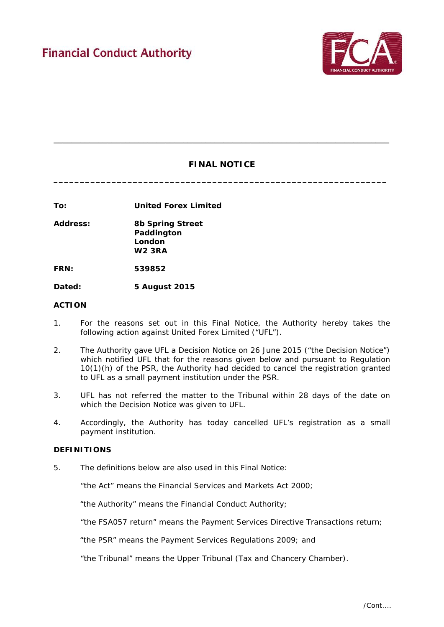

# **FINAL NOTICE**

**\_\_\_\_\_\_\_\_\_\_\_\_\_\_\_\_\_\_\_\_\_\_\_\_\_\_\_\_\_\_\_\_\_\_\_\_\_\_\_\_\_\_\_\_\_\_\_\_\_\_\_\_\_\_\_\_\_\_\_\_\_\_\_**

**\_\_\_\_\_\_\_\_\_\_\_\_\_\_\_\_\_\_\_\_\_\_\_\_\_\_\_\_\_\_\_\_\_\_\_\_\_\_\_\_\_\_\_\_\_\_\_\_\_\_\_\_\_\_\_\_\_\_\_\_\_\_\_\_\_\_\_\_\_\_\_\_\_\_\_**

**To: United Forex Limited**

**Address: 8b Spring Street Paddington London W2 3RA** 

**FRN: 539852**

**Dated: 5 August 2015** 

# **ACTION**

- 1. For the reasons set out in this Final Notice, the Authority hereby takes the following action against United Forex Limited ("UFL").
- 2. The Authority gave UFL a Decision Notice on 26 June 2015 ("the Decision Notice") which notified UFL that for the reasons given below and pursuant to Regulation 10(1)(h) of the PSR, the Authority had decided to cancel the registration granted to UFL as a small payment institution under the PSR.
- 3. UFL has not referred the matter to the Tribunal within 28 days of the date on which the Decision Notice was given to UFL.
- 4. Accordingly, the Authority has today cancelled UFL's registration as a small payment institution.

### **DEFINITIONS**

5. The definitions below are also used in this Final Notice:

"the Act" means the Financial Services and Markets Act 2000;

"the Authority" means the Financial Conduct Authority;

"the FSA057 return" means the Payment Services Directive Transactions return;

"the PSR" means the Payment Services Regulations 2009; and

"the Tribunal" means the Upper Tribunal (Tax and Chancery Chamber).